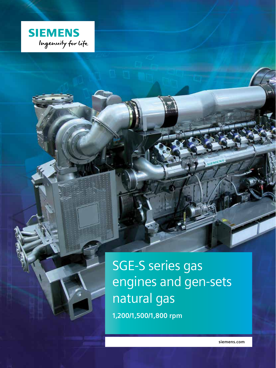

SGE-S series gas engines and gen-sets natural gas **1,200/1,500/1,800 rpm**

**siemens.com**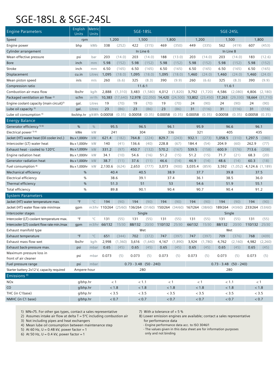#### SGE-18SL & SGE-24SL

| <b>Engine Parameters</b>                             | English<br>Units     | Metric<br>Units   |               |                                                       |           | SGE-18SL                 |                    |          | SGE-24SL           |           |                    |              |                             |                 |  |
|------------------------------------------------------|----------------------|-------------------|---------------|-------------------------------------------------------|-----------|--------------------------|--------------------|----------|--------------------|-----------|--------------------|--------------|-----------------------------|-----------------|--|
| Speed                                                | rpm                  |                   |               | 1,200                                                 |           | 1,500                    |                    | 1,800    |                    | 1,200     |                    | 1,500        |                             | 1,800           |  |
| Engine power                                         | bhp                  | kWb               | 338           | (252)                                                 | 422       | (315)                    | 469                | (350)    | 449                | (335)     | 562                | (419)        | 607                         | (453)           |  |
| Cylinder arrangement                                 |                      |                   |               |                                                       | In Line 6 |                          |                    |          |                    |           | In Line 8          |              |                             |                 |  |
| Mean effective pressure                              | psi                  | bar               | 203           | (14.0)                                                | 203       | (14.0)                   | 188                | (13.0)   | 203                | (14.0)    | 203                | (14.0)       | 183                         | (12.6)          |  |
| <b>Bore</b>                                          | inch                 | mm                | 5.98          | (152)                                                 | 5.98      | (152)                    | 5.98               | (152)    | 5.98               | (152)     | 5.98               | (152)        | 5.98                        | (152)           |  |
| Stroke                                               | inch                 | mm                | 6.50          | (165)                                                 | 6.50      | (165)                    | 6.50               | (165)    | 6.50               | (165)     | 6.50               | (165)        | 6.50                        | (165)           |  |
| Displacement                                         | cu.in                | Litres            | 1,095         | (18.0)                                                | 1,095     | (18.0)                   | 1,095              | (18.0)   | 1,460              | (24.0)    | 1,460              | (24.0)       | 1,460                       | (24.0)          |  |
| Mean piston speed                                    | in/s                 | m/s               | 260           | (6.6)                                                 | 325       | (8.3)                    | 390                | (9.9)    | 260                | (6.6)     | 325                | (8.3)        | 390                         | (9.9)           |  |
| Compression ratio                                    |                      |                   |               |                                                       |           | 11.6:1                   |                    |          |                    |           | 11.6:1             |              |                             |                 |  |
| Combustion air mass flow                             | lbs/hr               | kq/h              | 2,888         | (1,310)                                               | 3,483     | (1,580)                  | 4,012              | (1,820)  | 3,792              | (1.720)   | 4,586              | (2,080)      | 4,806                       | (2,180)         |  |
| Packaged ventilation air flow <sup>2)</sup>          | scfm                 | $m^3/h$           | 10,383        | (17,640)                                              | 12,978    | (22,050)                 | 14,420             | (24,500) | 13,802             | (23, 450) | 17,263             | (29, 330)    |                             | 18,664 (31,710) |  |
| Engine coolant capacity (main circuit) <sup>3)</sup> | gal.                 | Litres            | 19            | (70)                                                  | 19        | (70)                     | 19                 | (70)     | 24                 | (90)      | 24                 | (90)         | 24                          | (90)            |  |
| Lube oil capacity $3$                                | gal.                 | Litres            | 23            | (86)                                                  | 23        | (86)                     | 23                 | (86)     | 31                 | (116)     | 31                 | (116)        | 31                          | (116)           |  |
| Lube oil consumption <sup>4)</sup>                   | lbs/bhp.hr           |                   | g/kWh 0.00058 | $(0.35)$ 0.00058                                      |           | (0.35)                   | 0.00058            | (0.35)   | 0.00058            | (0.35)    | 0.00058            | (0.35)       | 0.00058                     | (0.35)          |  |
| <b>Energy Balance</b>                                |                      |                   |               |                                                       |           |                          |                    |          |                    |           |                    |              |                             |                 |  |
| Generator efficiency <sup>5) 6)</sup>                | %                    | $\frac{0}{0}$     |               | 95.5                                                  |           | 96.5                     |                    | 96.1     |                    | 95.9      |                    | 96.6         | 96.1                        |                 |  |
| Electrical power <sup>5) 6)</sup>                    | kWe                  | kW                |               | 241                                                   |           | 304                      |                    | 336      |                    | 321       |                    | 405          | 435                         |                 |  |
| Jacket (HT) water heat (Oil cooler incl.)            | Btu x 1,000/hr       | kW                | 621.4         | (182)                                                 | 764.8     | (224)                    | 829.7              | (243)    | 932.1              | (273)     | 1,058.5            | (310)        | 1,297.5                     | (380)           |  |
| Intercooler (LT) water heat                          | Btu x 1,000/hr       | kW                | 140           | (41)                                                  | 136.6     | (40)                     | 228.8              | (67)     | 184.4              | (54)      | 204.9              | (60)         | 262.9                       | (77)            |  |
| Exhaust heat - cooled to 120°C                       | Btu x 1,000/hr       | kW                | 331.2         | (97)                                                  | 450.7     | (132)                    | 570.2              | (167)    | 539.5              | (158)     | 600.9              | (176)        | 713.6                       | (208)           |  |
| Engine radiation heat                                | Btu x 1,000/hr       | kW                | 34.1          | (10)                                                  | 54.6      | (16)                     | 51.2               | (15)     | 51.2               | (15)      | 71.7               | (21)         | 68.3                        | (20)            |  |
| Generator radiation heat                             | Btu x 1,000/hr       | kW                | 38.7          | (11)                                                  | 37.6      | (11)                     | 46.6               | (14)     | 46.9               | (14)      | 48.6               | (14)         | 60.3                        | (18)            |  |
| Fuel consumption 8)                                  | Btu x 1,000/hr       | kW                | 2,130.6       | (624)                                                 | 2,653     | (777)                    | 3,073              | (900)    | 3,035.4            | (859)     | 3,592              | (1,052)      | 4,124.6 (1,189)             |                 |  |
| Mechanical efficiency                                | %                    |                   | 40.4          |                                                       | 40.5      |                          |                    | 38.9     |                    | 37.7      |                    | 39.8         | 37.5                        |                 |  |
| Electrical efficiency                                | $\%$                 |                   | 38.6          |                                                       | 39.1      |                          |                    | 37.4     |                    | 36.1      |                    | 38.5         |                             | 36.0            |  |
| Thermal efficiency                                   | %                    |                   | 51.3          |                                                       | 51        |                          | 53                 |          |                    | 54.6      | 51.9               |              | 55.1                        |                 |  |
| Total efficiency                                     | $\%$                 |                   |               | 89.8                                                  | 90.1      |                          | 90.4               |          | 90.7               |           |                    | 90.4         |                             | 91.2            |  |
| <b>System Parameters</b>                             |                      |                   |               |                                                       |           |                          |                    |          |                    |           |                    |              |                             |                 |  |
| Jacket (HT) water temperature max.                   | $\circ$ F            | $^{\circ}$ C      | 194           | (90)                                                  | 194       | (90)                     | 194                | (90)     | 194                | (90)      | 194                | (90)         | 194                         | (90)            |  |
| Jacket (HT) water flow rate min/max                  | gpm                  |                   |               | m3/hr 110/264 (25/60) 136/264 (31/60) 150/264 (34/60) |           |                          |                    |          | 167/264 (38/60)    |           | 189/264            |              | $(43/60)$ 233/264 $(53/60)$ |                 |  |
| Intercooler stages                                   |                      |                   |               |                                                       |           | Single                   |                    |          |                    |           | Single             |              |                             |                 |  |
| Intercooler (LT) coolant temperature max.            | $\circ$ F            | $^{\circ}$ C      | 131           | (55)                                                  | 131       | (55)                     | 131                | (55)     | 131                | (55)      | 131                | (55)         | 131                         | (55)            |  |
| Intercooler (LT) coolant flow rate min./max          | qpm                  | m3/hr             | 66/132        | 15/30                                                 | 88/132    | 20/30                    | 110/132            | 25/30    | 66/132             | 15/30     | 88/132             | 20/30        | 110/132                     | 25/30           |  |
| Exhaust manifold type                                |                      |                   |               |                                                       |           | Wet                      |                    |          |                    |           |                    | Wet          |                             |                 |  |
| Exhaust temperature                                  | $^{\circ}\mathsf{F}$ | $^{\circ}{\rm C}$ | 651           | (344)                                                 | 702       | (372)                    | 747                | (397)    | 747                | (397)     | 709                | (376)        | 768                         | (409)           |  |
| Exhaust mass flow wet                                | lbs/hr               | kg/h              | 2,998         | (1,360)                                               | 3,616     | (1,640)                  | 4,167              | (1,890)  | 3,924              | (1,780)   | 4,762              | (2, 160)     | 4,982                       | (2,260)         |  |
| Exhaust back-pressure max.                           | psi                  | mbar              | 0.65          | (45)                                                  | 0.65      | (45)                     | 0.65               | (45)     | 0.65               | (45)      | 0.65               | (45)         | 0.65                        | (45)            |  |
| Maximum pressure loss in                             |                      |                   |               |                                                       |           |                          |                    |          |                    |           |                    |              |                             |                 |  |
| front of air cleaner                                 | psi                  | mbar              | 0.073         | (5)                                                   | 0.073     | (5)                      | 0.073              | (5)      | 0.073              | (5)       | 0.073              | (5)          | 0.073                       | (5)             |  |
| Fuel pressure range                                  | psi                  | mbar              |               |                                                       |           | $0.73 - 3.48$ (50 - 240) |                    |          |                    |           | $0.73 - 3.48$      | $(50 - 240)$ |                             |                 |  |
| Starter battery 2x12 V, capacity required            | Ampere-hour          |                   |               |                                                       |           | 280                      |                    |          |                    |           |                    | 280          |                             |                 |  |
| Emissions <sup>8)</sup>                              |                      |                   |               |                                                       |           |                          |                    |          |                    |           |                    |              |                             |                 |  |
| <b>NO<sub>x</sub></b>                                | g/bhp.hr             |                   |               | $< 1$                                                 |           | < 1.1                    |                    |          | < 1                |           |                    |              |                             |                 |  |
| CO                                                   | g/bhp.hr             |                   |               | $< 1.8\,$                                             |           | $< 1.8$                  | $< 1$<br>$< 1.8\,$ |          |                    |           | < 1.1              |              | < 1<br>$< 1.8\,$            |                 |  |
| THC (in C1base)                                      | g/bhp.hr             |                   |               | $< 3.5\,$                                             |           | < 3.5                    |                    | < 3.5    | < 1.8<br>$< 3.5\,$ |           | $< 1.8\,$          |              |                             |                 |  |
| NMHC (in C1 base)                                    | g/bhp.hr             |                   |               | $< 0.7\,$                                             |           | $< 0.7$                  |                    | < 0.7    |                    | $< 0.7$   | < 3.5<br>$< 0.7\,$ |              | < 3.5<br>$< 0.7\,$          |                 |  |
|                                                      |                      |                   |               |                                                       |           |                          |                    |          |                    |           |                    |              |                             |                 |  |

1) MN=75. For other gas types, contact a sales representative

2) Assumes intake air flow at delta  $T = 5^{\circ}C$  including combustion air

3) Not including pipes and heat exchangers

4) Mean lube oil consumption between maintenance step

5) At 60 Hz,  $U = 0.48$  kV, power factor = 1

6) At 50 Hz,  $U = 0.4$  kV, power factor = 1

7) With a tolerance of  $+5%$ 

8) Lower emission engines are available; contact a sales representative for performance data

- Engine performance data acc. to ISO 3046/1

- The values given in this data sheet are for information purposes only and not binding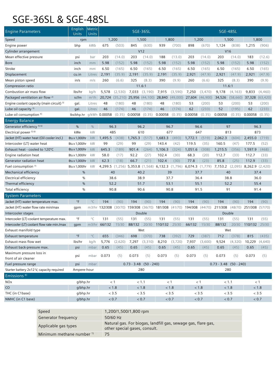### SGE-36SL & SGE-48SL

| <b>Engine Parameters</b>                             | English<br><b>Units</b> | Metric<br><b>Units</b> |               |           |                          | SGE-36SL  |                                         |                                                                 | SGE-48SL |           |                          |           |                         |           |  |  |
|------------------------------------------------------|-------------------------|------------------------|---------------|-----------|--------------------------|-----------|-----------------------------------------|-----------------------------------------------------------------|----------|-----------|--------------------------|-----------|-------------------------|-----------|--|--|
| Speed                                                | rpm                     |                        |               | 1,200     |                          | 1,500     |                                         | 1,800                                                           |          | 1,200     |                          | 1,500     |                         | 1,800     |  |  |
| Engine power                                         | bhp                     | kWb                    | 675           | (503)     | 845                      | (630)     | 939                                     | (700)                                                           | 898      | (670)     | (838)<br>1,124           |           | 1,215<br>(906)          |           |  |  |
| Cylinder arrangement                                 |                         |                        |               |           |                          | V12       |                                         |                                                                 |          |           |                          | V16       |                         |           |  |  |
| Mean effective pressure                              | psi                     | bar                    | 203           | (14.0)    | 203                      | (14.0)    | 188                                     | (13.0)                                                          | 203      | (14.0)    | 203                      | (14.0)    | 183                     | (12.6)    |  |  |
| <b>Bore</b>                                          | inch                    | mm                     | 5.98          | (152)     | 5.98                     | (152)     | 5.98                                    | (152)                                                           | 5.98     | (152)     | 5.98                     | (152)     | 5.98                    | (152)     |  |  |
| Stroke                                               | inch                    | mm                     | 6.50          | (165)     | 6.50                     | (165)     | 6.50                                    | (165)                                                           | 6.50     | (165)     | 6.50                     | (165)     | 6.50                    | (165)     |  |  |
| Displacement                                         | cu.in                   | Litres                 | 2,191         | (35.9)    | 2,191                    | (35.9)    | 2,191                                   | (35.9)                                                          | 2,921    | (47.9)    | 2,921                    | (47.9)    | 2,921                   | (47.9)    |  |  |
| Mean piston speed                                    | in/s                    | m/s                    | 260           | (6.6)     | 325                      | (8.3)     | 390                                     | (9.9)                                                           | 260      | (6.6)     | 325                      | (8.3)     | 390                     | (9.9)     |  |  |
| Compression ratio                                    |                         |                        |               |           |                          | 11.6:1    |                                         |                                                                 |          |           | 11.6:1                   |           |                         |           |  |  |
| Combustion air mass flow                             | lbs/hr                  | kq/h                   | 5,578         | (2,530)   | 7,033                    | (3, 190)  | 7,915                                   | (3,590)                                                         | 7,250    | (3,470)   | 9,178                    | (4, 163)  | 9,833                   | (4,460)   |  |  |
| Packaged ventilation air flow <sup>2)</sup>          | scfm                    | $m^3/h$                | 20,724        | (35, 210) | 25,956                   | (44, 100) | 28,840                                  | (49,000)                                                        | 27,604   | (46,900)  | 34,526                   | (58, 660) | 37,328                  | (63, 420) |  |  |
| Engine coolant capacity (main circuit) <sup>3)</sup> | gal.                    | Litres                 | 48            | (180)     | 48                       | (180)     | 48                                      | (180)                                                           | 53       | (200)     | 53                       | (200)     | 53                      | (200)     |  |  |
| Lube oil capacity $3$ )                              | qal.                    | Litres                 | 46            | (174)     | 46                       | (174)     | 46                                      | (174)                                                           | 62       | (233)     | 52                       | (195)     | 62                      | (233)     |  |  |
| Lube oil consumption <sup>4)</sup>                   | lbs/bhp.hr              |                        | g/kWh 0.00058 |           |                          |           | $(0.35)$ 0.00058 $(0.35)$ 0.00058       | (0.35)                                                          | 0.00058  | (0.35)    | 0.00058                  | (0.35)    | 0.00058                 | (0.35)    |  |  |
| <b>Energy Balance</b>                                |                         |                        |               |           |                          |           |                                         |                                                                 |          |           |                          |           |                         |           |  |  |
| Generator efficiency <sup>5) 6)</sup>                | %                       | $\frac{0}{0}$          |               | 96.3      |                          | 96.2      |                                         | 96.7                                                            |          | 96.6      |                          | 97        | 96.3                    |           |  |  |
| Electrical power 5) 6)                               | kWe                     | kW                     | 485           |           |                          | 610       |                                         | 677                                                             |          | 647       |                          | 813       | 873                     |           |  |  |
| Jacket (HT) water heat (Oil cooler incl.)            | Btu x 1,000/hr          | kW                     | 1,495.5       | (438)     | 1,765.3                  | (517)     | 1,683.3                                 | (493)                                                           | 1,772.1  | (519)     | 2,062.3                  | (604)     | 2,455.0                 | (719)     |  |  |
| Intercooler (LT) water heat                          | Btu x 1,000/hr          | kW                     | 99            | (29)      | 99                       | (29)      | 143.4                                   | (42)                                                            | 119.5    | (35)      | 160.5                    | (47)      | 177.5                   | (52)      |  |  |
| Exhaust heat - cooled to 120°C                       | Btu x 1,000/hr          | kW                     | 645.3         | (189)     | 901.4                    | (264)     | 1,106.3                                 | (324)                                                           | 1,051.6  | (308)     | 1,215.5                  | (356)     | 1,597.9                 | (468)     |  |  |
| Engine radiation heat                                | Btu x 1,000/hr          | kW                     | 58.0          | (17)      | 92.2                     | (27)      | 102.4                                   | (30)                                                            | 68.3     | (20)      | 112.7                    | (33)      | 112.7                   | (33)      |  |  |
| Generator radiation heat                             | Btu x 1,000/hr          | kW                     | 62.3          | (18)      | 66.7                     | (21)      | 102.4                                   | (30)                                                            | 77.8     | (23)      | 85.8                     | (25)      | 112.9                   | (33)      |  |  |
| Fuel consumption 7)                                  | Btu x 1,000/hr          | kW                     |               |           |                          |           |                                         | 4,299.5 (1,256) 5,353.8 (1,568) 6,132.3 (1,796) 6,074.3 (1,779) |          |           | 7,153.2                  | (2,095)   | 8,262.9 (2,420)         |           |  |  |
| Mechanical efficiency                                | %                       |                        | 40            |           |                          | 40.2      | 39                                      |                                                                 |          | 37.7      | 40                       |           | 37.4                    |           |  |  |
| Electrical efficiency                                | %                       |                        | 38.6          |           | 38.9                     |           | 37.7                                    |                                                                 |          | 36.4      | 38.8                     |           | 36.0                    |           |  |  |
| Thermal efficiency                                   | %                       |                        | 52.2          |           | 51.7                     |           | 53.1                                    |                                                                 | 55.1     |           |                          | 52.2      | 55.4                    |           |  |  |
| Total efficiency                                     | $\%$                    |                        |               | 90.8      | 90.6                     |           | 90.8                                    |                                                                 | 91.5     |           | 91                       |           | 91.4                    |           |  |  |
| <b>System Parameters</b>                             |                         |                        |               |           |                          |           |                                         |                                                                 |          |           |                          |           |                         |           |  |  |
| Jacket (HT) water temperature max.                   | $\circ$ F               | $^{\circ}$ C           | 194           | (90)      | 194                      | (90)      | 194                                     | (90)                                                            | 194      | (90)      | 194                      | (90)      | 194                     | (90)      |  |  |
| Jacket (HT) water flow rate min/max                  | gpm                     |                        | m3/hr 132/308 |           |                          |           | (30/70) 159/308 (36/70) 181/308 (41/70) |                                                                 | 194/308  | (44/70)   | 211/308                  |           | (48/70) 251/308 (57/70) |           |  |  |
| Intercooler stages                                   |                         |                        |               |           |                          | Double    |                                         |                                                                 |          |           | Double                   |           |                         |           |  |  |
| Intercooler (LT) coolant temperature max.            | $\circ$ F               | $^{\circ}$ C           | 131           | (55)      | 131                      | (55)      | 131                                     | (55)                                                            | 131      | (55)      | 131                      | (55)      | 131                     | (55)      |  |  |
| Intercooler (LT) coolant flow rate min./max          | qpm                     | m3/hr                  | 66/132        | 15/30     | 88/132                   |           | 20/30 110/132                           | 25/30                                                           | 66/132   | 15/30     | 88/132                   | 20/30     | 110/132                 | 25/30     |  |  |
| Exhaust manifold type                                |                         |                        |               |           |                          | Wet       |                                         |                                                                 |          |           | Wet                      |           |                         |           |  |  |
| Exhaust temperature                                  | $^{\circ}\mathsf{F}$    | $^{\circ}{\rm C}$      | 655           | (346)     | 698                      | (370)     | 738                                     | (392)                                                           | 729      | (387)     | 712                      | (378)     | 815                     | (435)     |  |  |
| Exhaust mass flow wet                                | lbs/hr                  | kg/h                   | 5,776         | (2,620)   | 7,297                    | (3,310)   | 8,210                                   | (3,720)                                                         | 7,937    | (3,600)   | 9,524                    | (4,320)   | 10,229                  | (4,640)   |  |  |
| Exhaust back-pressure max.                           | psi                     | mbar                   | 0.65          | (45)      | 0.65                     | (45)      | 0.65                                    | (45)                                                            | 0.65     | (45)      | 0.65                     | (45)      | 0.65                    | (45)      |  |  |
| Maximum pressure loss in<br>front of air cleaner     | psi                     | mbar                   | 0.073         | (5)       | 0.073                    | (5)       | 0.073                                   | (5)                                                             | 0.073    | (5)       | 0.073                    | (5)       | 0.073                   | (5)       |  |  |
| Fuel pressure range                                  | psi                     | mbar                   |               |           | $0.73 - 3.48$ (50 - 240) |           |                                         |                                                                 |          |           | $0.73 - 3.48$ (50 - 240) |           |                         |           |  |  |
| Starter battery 2x12 V, capacity required            | Ampere-hour             |                        |               |           |                          | 280       |                                         |                                                                 |          |           | 280                      |           |                         |           |  |  |
| Emissions <sup>8)</sup>                              |                         |                        |               |           |                          |           |                                         |                                                                 |          |           |                          |           |                         |           |  |  |
| <b>NOx</b>                                           | g/bhp.hr                |                        |               | < 1       |                          | < 1.1     | < 1                                     |                                                                 | < 1      |           | < 1.1                    |           | < 1                     |           |  |  |
| CO                                                   | g/bhp.hr                |                        |               | $< 1.8\,$ |                          | < 1.8     |                                         | < 1.8                                                           |          | $< 1.8\,$ |                          | < 1.8     | $< 1.8\,$               |           |  |  |
| THC (in C1base)                                      | g/bhp.hr                |                        |               | < 3.5     |                          | < 3.5     |                                         | < 3.5                                                           |          | < 3.5     |                          | < 3.5     |                         | < 3.5     |  |  |
| NMHC (in C1 base)                                    | g/bhp.hr                |                        |               | $< 0.7$   |                          | < 0.7     |                                         | $< 0.7$                                                         |          | $< 0.7\,$ | < 0.7                    |           | < 0.7                   |           |  |  |
|                                                      |                         |                        |               |           |                          |           |                                         |                                                                 |          |           |                          |           |                         |           |  |  |

| Speed                      | 1,200/1,500/1,800 rpm                                                                          |
|----------------------------|------------------------------------------------------------------------------------------------|
| Generator frequency        | 50/60 Hz                                                                                       |
| Applicable gas types       | Natural gas. For biogas, landfill gas, sewage gas, flare gas,<br>other special gases, consult. |
| Minimum methane number $1$ | 75                                                                                             |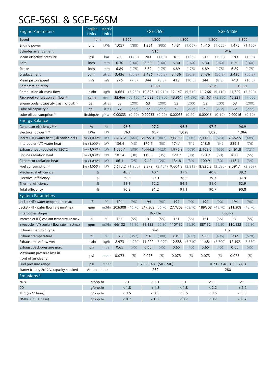# SGE-56SL & SGE-56SM

| <b>Engine Parameters</b>                    | English<br>Units     | Metric<br>Units   |                                     |                |         | SGE-56SL                 |                                                    |           |           | SGE-56SM                                                                      |                          |          |  |  |
|---------------------------------------------|----------------------|-------------------|-------------------------------------|----------------|---------|--------------------------|----------------------------------------------------|-----------|-----------|-------------------------------------------------------------------------------|--------------------------|----------|--|--|
| Speed                                       | rpm                  |                   |                                     | 1,200          |         | 1,500                    |                                                    | 1,800     |           | 1,500                                                                         |                          | 1,800    |  |  |
| Engine power                                | bhp                  | kWb               | 1,057                               | (788)          | 1,321   | (985)                    | 1,431                                              | (1,067)   | 1,415     | (1,055)                                                                       | 1,475                    | (1,100)  |  |  |
| Cylinder arrangement                        |                      |                   |                                     |                | V16     |                          |                                                    |           |           |                                                                               | V16                      |          |  |  |
| Mean effective pressure                     | psi                  | bar               | 203                                 | (14.0)         | 203     | (14.0)                   | 183                                                | (12.6)    | 217       | (15.0)                                                                        | 189                      | (13.0)   |  |  |
| <b>Bore</b>                                 | inch                 | mm                | 6.30                                | (160)          | 6.30    | (160)                    | 6.30                                               | (160)     | 6.30      | (160)                                                                         | 6.30                     | (160)    |  |  |
| Stroke                                      | inch                 | mm                | 6.89                                | (175)          | 6.89    | (175)                    | 6.89                                               | (175)     | 6.89      | (175)                                                                         | 6.89                     | (175)    |  |  |
| Displacement                                | cu.in                | Litres            | 3,436                               | (56.3)         | 3,436   | (56.3)                   | 3,436                                              | (56.3)    | 3,436     | (56.3)                                                                        | 3,436                    | (56.3)   |  |  |
| Mean piston speed                           | in/s                 | m/s               | 276                                 | (7.0)          | 344     | (8.8)                    | 413                                                | (10.5)    | 344       | (8.8)                                                                         | 413                      | (10.5)   |  |  |
| Compression ratio                           |                      |                   |                                     |                | 12.3:1  |                          |                                                    |           |           | 12.3:1                                                                        | 12.3:1                   |          |  |  |
| Combustion air mass flow                    | lbs/hr               | kq/h              | 8.664                               |                |         |                          | $(3,930)$ 10,825 $(4,910)$ 12,147 $(5,510)$ 11,266 |           |           | (5, 110)                                                                      | 11,729                   | (5,320)  |  |  |
| Packaged ventilation air flow <sup>2)</sup> | scfm                 | $m^3/h$           |                                     |                |         |                          |                                                    |           |           | 32,466 (55,160) 40,582 (68,950) 43,961 (74,690) 43,467 (73,850)               | 45,321                   | (77,000) |  |  |
| Engine coolant capacity (main circuit) 3)   | gal.                 | Litres            | 53                                  | (200)          | 53      | (200)                    | 53                                                 | (200)     | 53        | (200)                                                                         | 53                       | (200)    |  |  |
| Lube oil capacity $3$ )                     | gal.                 | Litres            | 72                                  | (272)          | 72      | (272)                    | 72                                                 | (272)     | 72        | (272)                                                                         | 72                       | (272)    |  |  |
| Lube oil consumption <sup>4)</sup>          | lbs/bhp.hr           |                   | g/kWh 0.00033 (0.20) 0.00033 (0.20) |                |         |                          | 0.00033                                            | (0.20)    | 0.00016   | (0.10)                                                                        | 0.00016                  | (0.10)   |  |  |
| <b>Energy Balance</b>                       |                      |                   |                                     |                |         |                          |                                                    |           |           |                                                                               |                          |          |  |  |
| Generator efficiency <sup>5) 6)</sup>       | $\%$                 | $\%$              |                                     | 96.8           |         | 97.2                     | 96.3                                               |           |           | 97.2                                                                          |                          | 96.9     |  |  |
| Electrical power <sup>5) 6)</sup>           | kWe                  | kW                | 763                                 |                | 957     |                          | 1,028                                              |           | 1,025     |                                                                               |                          | 1,066    |  |  |
| Jacket (HT) water heat (Oil cooler incl.)   | Btu x 1,000/hr       | kW                | 2,267.2                             | (664)          | 2,755.4 | (807)                    | 3,086.6                                            | (904)     | 2,116.9   | (620)                                                                         | 2,352.5                  | (689)    |  |  |
| Intercooler (LT) water heat                 | Btu x 1.000/hr       | kW                | 136.6                               | (40)           | 170.7   | (50)                     | 174.1                                              | (51)      | 218.5     | (64)                                                                          | 239.5                    | (76)     |  |  |
| Exhaust heat - cooled to 120°C              | Btu x 1,000/hr       | kW                | 1.055.1                             | (309)          | 1,444.3 | (423)                    | 1,976.9                                            | (579)     | 2,168.2   | (635)                                                                         | 2,461.8                  | (721)    |  |  |
| Engine radiation heat                       | Btu x 1,000/hr       | kW                | 102.4                               | (30)           | 119.5   | (35)                     | 129.7                                              | (38)      | 170.7     | (50)                                                                          | 187.8                    | (55)     |  |  |
| Generator radiation heat                    | Btu x 1,000/hr       | kW                | 86.1                                | (25)           | 94.2    | (28)                     | 134.8                                              | (39)      | 100.9     | (30)                                                                          | 116.4                    | (34)     |  |  |
| Fuel consumption 7)                         | Btu x 1,000/hr       | kW                |                                     | 6,675.2(1,955) | 8,379   |                          | $(2,454)$ 9,604.8 $(2,813)$ 8,826.3 $(2,585)$      |           |           |                                                                               | 9,591.1                  | (2,809)  |  |  |
| Mechanical efficiency                       | %                    |                   | 40.3                                |                | 40.1    |                          |                                                    | 37.9      |           | 40.8                                                                          | 39.2                     |          |  |  |
| Electrical efficiency                       | $\%$                 |                   | 39.0                                |                | 39.0    |                          | 36.5                                               |           | 39.7      |                                                                               |                          | 37.9     |  |  |
| Thermal efficiency                          | $\%$                 |                   |                                     | 51.8           | 52.2    |                          | 54.5                                               |           | 51.0      |                                                                               |                          | 52.9     |  |  |
| Total efficiency                            | $\%$                 |                   |                                     | 90.8           | 91.2    |                          | 91.1                                               |           |           | 90.7                                                                          |                          | 90.8     |  |  |
| <b>System Parameters</b>                    |                      |                   |                                     |                |         |                          |                                                    |           |           |                                                                               |                          |          |  |  |
| Jacket (HT) water temperature max.          | $\circ$ F            | $^{\circ}$ C      | 194                                 | (90)           | 194     | (90)                     | 194                                                | (90)      | 194       | (90)                                                                          | 194                      | (90)     |  |  |
| Jacket (HT) water flow rate min/max         | gpm                  |                   |                                     |                |         |                          |                                                    |           |           | m3/hr 203/308 (46/70) 247/308 (56/70) 277/308 (63/70) 189/308 (43/70) 211/308 |                          | (48/70)  |  |  |
| Intercooler stages                          |                      |                   |                                     |                |         | Double                   |                                                    |           |           |                                                                               | Double                   |          |  |  |
| Intercooler (LT) coolant temperature max.   | $\circ$ F            | $^{\circ}$ C      | 131                                 | (55)           | 131     | (55)                     | 131                                                | (55)      | 131       | (55)                                                                          | 131                      | (55)     |  |  |
| Intercooler (LT) coolant flow rate min./max | gpm                  | m3/hr             | 66/132                              | 15/30          | 88/132  | 20/30                    | 110/132                                            | 25/30     | 88/132    | 25/30                                                                         | 110/132                  | 25/30    |  |  |
| Exhaust manifold type                       |                      |                   |                                     |                |         | Wet                      |                                                    |           |           |                                                                               | Dry                      |          |  |  |
| Exhaust temperature                         | $^{\circ}\mathsf{F}$ | $^{\circ}{\rm C}$ | 675                                 | (357)          | 716     | (380)                    | 819                                                | (437)     | 923       | (495)                                                                         | 982                      | (528)    |  |  |
| Exhaust mass flow wet                       | lbs/hr               | kq/h              | 8,973                               | (4,070)        | 11,222  | (5,090)                  | 12,588                                             | (5,710)   | 11,684    | (5,300)                                                                       | 12,192                   | (5,530)  |  |  |
| Exhaust back-pressure max.                  | psi                  | mbar              | 0.65                                | (45)           | 0.65    | (45)                     | 0.65                                               | (45)      | 0.65      | (45)                                                                          | 0.65                     | (45)     |  |  |
| Maximum pressure loss in                    | psi                  | mbar              | 0.073                               | (5)            | 0.073   | (5)                      | 0.073                                              | (5)       | 0.073     | (5)                                                                           | 0.073                    | (5)      |  |  |
| front of air cleaner                        |                      |                   |                                     |                |         |                          |                                                    |           |           |                                                                               |                          |          |  |  |
| Fuel pressure range                         | psi                  | mbar              |                                     |                |         | $0.73 - 3.48$ (50 - 240) |                                                    |           |           |                                                                               | $0.73 - 3.48$ (50 - 240) |          |  |  |
| Starter battery 2x12 V, capacity required   | Ampere-hour          |                   |                                     |                |         | 280                      |                                                    |           |           |                                                                               | 280                      |          |  |  |
| Emissions <sup>8)</sup>                     |                      |                   |                                     |                |         |                          |                                                    |           |           |                                                                               |                          |          |  |  |
| <b>NOx</b>                                  | g/bhp.hr             |                   |                                     | < 1            |         | < 1.1                    |                                                    | < 1       |           | < 1.1                                                                         | < 1                      |          |  |  |
| CO                                          | g/bhp.hr             |                   |                                     | $< 1.8\,$      |         | < 1.8                    | $< 1.8\,$                                          |           | < 2.2     |                                                                               | < 2.2                    |          |  |  |
| THC (in C1base)                             | g/bhp.hr             |                   |                                     | $< 3.5\,$      |         | < 3.5                    |                                                    | < 3.5     |           | < 3.5                                                                         | < 3.5                    |          |  |  |
| NMHC (in C1 base)                           | g/bhp.hr             |                   |                                     | $< 0.7\,$      |         | $< 0.7\,$                |                                                    | $< 0.7\,$ | $< 0.7\,$ |                                                                               | $< 0.7\,$                |          |  |  |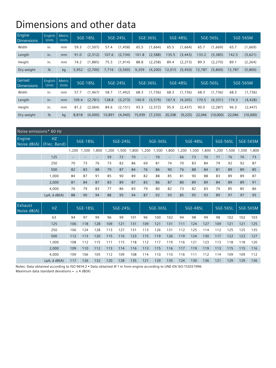# Dimensions and other data

| Engine<br>Dimensions | English<br><b>Units</b> | Metric<br><b>Units</b> |       | SGE-18SL | SGE-24SL |          |       | SGE-36SL |        | SGE-48SL |        | SGE-56SL | SGE-56SM |          |  |
|----------------------|-------------------------|------------------------|-------|----------|----------|----------|-------|----------|--------|----------|--------|----------|----------|----------|--|
| Width                | in.                     | mm                     | 59.3  | (1, 507) | 57.4     | (1, 458) | 65.5  | (1,664)  | 65.5   | (1,664)  | 65.7   | (1,669)  | 65.7     | (1,669)  |  |
| Length               | in.                     | mm                     | 91.0  | (2,312)  | 107.6    | (2,734)  | 101.8 | (2,588)  | 135.5  | (3, 443) | 133.2  | (3,385)  | 142.5    | (3,621)  |  |
| Height               | in.                     | mm                     | 74.2  | (1,885)  | 75.3     | (1, 914) | 88.8  | (2, 258) | 89.4   | (2,273)  | 89.3   | (2,270)  | 89.1     | (2, 264) |  |
| Dry weight           | I <sub>b</sub>          | kq                     | 5,952 | (2,700)  | 7,716    | (3,500)  | 9,259 | (4,200)  | 12,015 | (5, 450) | 12,787 | (5,800)  | 12.787   | (5,800)  |  |
|                      |                         |                        |       |          |          |          |       |          |        |          |        |          |          |          |  |
|                      |                         |                        |       |          |          |          |       |          |        |          |        |          |          |          |  |
| Genset<br>Dimensions | English<br><b>Units</b> | Metric<br><b>Units</b> |       | SGE-18SL |          | SGE-24SL |       | SGE-36SL |        | SGE-48SL |        | SGE-56SL |          | SGE-56SM |  |
| Width                | in.                     | mm                     | 57.7  | (1, 467) | 58.7     | (1, 492) | 68.3  | (1,736)  | 68.3   | (1,736)  | 68.3   | (1,736)  | 68.3     | (1,736)  |  |
| Length               | in.                     | mm                     | 109.4 | (2,781)  | 128.8    | (3,273)  | 140.9 | (3, 579) | 167.9  | (4, 265) | 170.5  | (4,331)  | 174.3    | (4, 428) |  |
| Height               | in.                     | mm                     | 81.2  | (2,064)  | 84.6     | (2, 151) | 93.3  | (2,372)  | 95.9   | (2, 437) | 90.0   | (2, 287) | 96.3     | (2, 447) |  |

|                       | Noise emissions* 60 Hz |                                                     |       |       |          |      |      |                   |       |                                     |       |          |      |          |      |          |       |
|-----------------------|------------------------|-----------------------------------------------------|-------|-------|----------|------|------|-------------------|-------|-------------------------------------|-------|----------|------|----------|------|----------|-------|
| Engine<br>Noise dB(A) | HZ<br>(Frec. Band)     | SGE-18SL                                            |       |       | SGE-24SL |      |      | SGE-36SL          |       |                                     |       | SGE-48SL |      | SGE-56SL |      | SGE-56SM |       |
|                       |                        | .200                                                | .500  | ,800  | ,200     | ,500 | ,800 | 1,200             | 1,500 | ,800                                | 1,200 | ,500     | ,800 | ,200     | ,500 | ,500     | 1,800 |
|                       | 125                    | $\hspace{0.05cm} -\hspace{0.05cm} -\hspace{0.05cm}$ | $- -$ | $- -$ | 59       | 72   | 70   | $\qquad \qquad -$ | 70    | $\hspace{0.05cm}$ $\hspace{0.05cm}$ | 66    | 73       | 70   | 71       | 76   | 76       | 73    |
|                       | 250                    | 70                                                  | 73    | 76    | 73       | 82   | 86   | 69                | 81    | 74                                  | 70    | 83       | 84   | 79       | 92   | 92       | 87    |
|                       | 500                    | 82                                                  | 83    | 88    | 79       | 87   | 84   | 76                | 86    | 90                                  | 76    | 88       | 84   | 81       | 89   | 89       | 85    |
|                       | 1.000                  | 84                                                  | 87    | 91    | 85       | 90   | 89   | 82                | 88    | 85                                  | 81    | 90       | 88   | 83       | 89   | 89       | 87    |
|                       | 2,000                  | 81                                                  | 84    | 87    | 83       | 89   | 87   | 83                | 86    | 87                                  | 80    | 89       | 89   | 84       | 89   | 89       | 91    |
|                       | 4,000                  | 76                                                  | 79    | 83    | 77       | 86   | 83   | 79                | 80    | 82                                  | 73    | 82       | 83   | 79       | 85   | 85       | 86    |
|                       | $LpA$ , å $dB(A)$      | 88                                                  | 90    | 94    | 88       | 95   | 94   | 87                | 92    | 93                                  | 85    | 95       | 93   | 89       | 97   | 97       | 95    |

| Exhaust<br>Noise $dB(A)$ | HZ.               | SGE-18SL |     |     | SGE-24SL |     |     | SGE-36SL |     |     |     | SGE-48SL |     | SGE-56SL |     | SGE-56SM |     |
|--------------------------|-------------------|----------|-----|-----|----------|-----|-----|----------|-----|-----|-----|----------|-----|----------|-----|----------|-----|
|                          | 63                | 94       | 97  | 99  | 96       | 99  | 101 | 96       | 100 | 102 | 94  | 98       | 99  | 98       | 102 | 102      | 103 |
|                          | 125               | 106      | 118 | 128 | 109      | 121 | 131 | 109      | 121 | 131 | 111 | 124      | 127 | 109      | 121 | 121      | 125 |
|                          | 250               | 106      | 124 | 128 | 113      | 127 | 131 | 113      | 126 | 131 | 112 | 125      | 114 | 112      | 125 | 125      | 135 |
|                          | 500               | 112      | 113 | 120 | 115      | 116 | 123 | 115      | 119 | 126 | 119 | 124      | 130 | 117      | 122 | 122      | 127 |
|                          | 000,1             | 108      | 12  | 115 |          | 115 | 18  | 112      | 17  | 119 | 116 | 121      | 123 | 113      | 118 | 118      | 120 |
|                          | 2,000             | 109      | 110 | 112 | 113      | 114 | 116 | 113      | 115 | 116 | 117 | 119      | 119 | 113      | 115 | 115      | 116 |
|                          | 4.000             | 109      | 106 | 105 | 112      | 109 | 108 | 114      | 110 | 110 | 116 | 111      | 112 | 114      | 109 | 109      | 112 |
|                          | $LpA$ , å $dB(A)$ | 117      | 126 | 132 | 120      | 128 | 135 | 121      | 129 | 135 | 124 | 130      | 136 | 121      | 129 | 129      | 136 |

Notes: Data obtained according to ISO 9614-2 • Data obtained @ 1 m from engine according to UNE-EN ISO-11203:1996

Maximum data standard deviations =  $\pm 4$  dB(A)